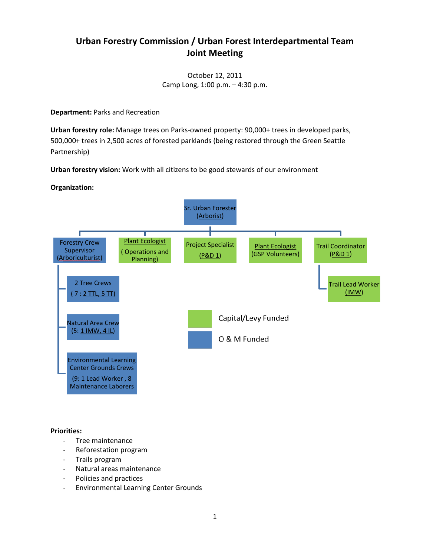## **Urban Forestry Commission / Urban Forest Interdepartmental Team Joint Meeting**

October 12, 2011 Camp Long, 1:00 p.m. – 4:30 p.m.

**Department:** Parks and Recreation

**Urban forestry role:** Manage trees on Parks-owned property: 90,000+ trees in developed parks, 500,000+ trees in 2,500 acres of forested parklands (being restored through the Green Seattle Partnership)

**Urban forestry vision:** Work with all citizens to be good stewards of our environment

## **Organization:**



**Priorities:**

- Tree maintenance
- Reforestation program
- Trails program
- Natural areas maintenance
- Policies and practices
- Environmental Learning Center Grounds